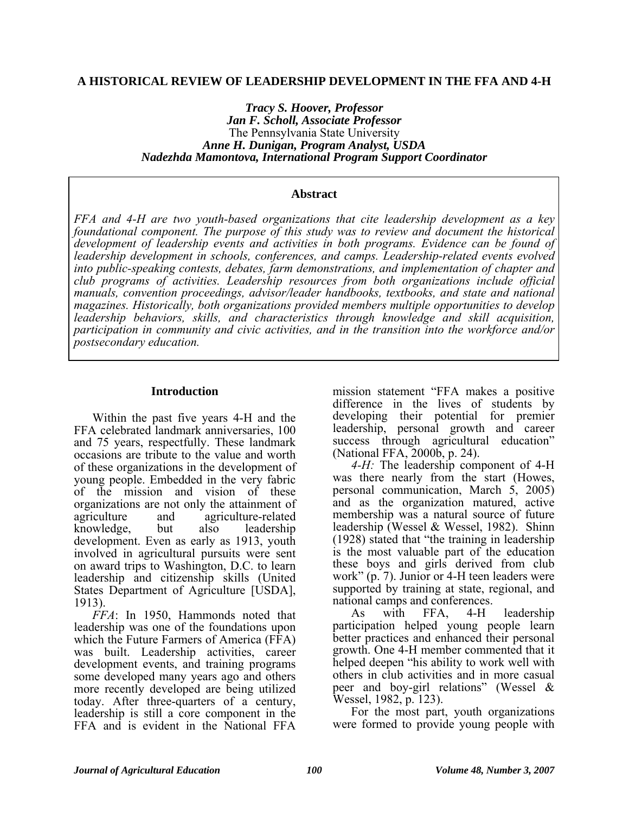#### **A HISTORICAL REVIEW OF LEADERSHIP DEVELOPMENT IN THE FFA AND 4-H**

*Tracy S. Hoover, Professor Jan F. Scholl, Associate Professor*  The Pennsylvania State University *Anne H. Dunigan, Program Analyst, USDA Nadezhda Mamontova, International Program Support Coordinator* 

## **Abstract**

*FFA and 4-H are two youth-based organizations that cite leadership development as a key foundational component. The purpose of this study was to review and document the historical development of leadership events and activities in both programs. Evidence can be found of leadership development in schools, conferences, and camps. Leadership-related events evolved into public-speaking contests, debates, farm demonstrations, and implementation of chapter and club programs of activities. Leadership resources from both organizations include official manuals, convention proceedings, advisor/leader handbooks, textbooks, and state and national magazines. Historically, both organizations provided members multiple opportunities to develop leadership behaviors, skills, and characteristics through knowledge and skill acquisition, participation in community and civic activities, and in the transition into the workforce and/or postsecondary education.* 

## **Introduction**

Within the past five years 4-H and the FFA celebrated landmark anniversaries, 100 and 75 years, respectfully. These landmark occasions are tribute to the value and worth of these organizations in the development of young people. Embedded in the very fabric of the mission and vision of these organizations are not only the attainment of agriculture and agriculture-related knowledge, but also leadership development. Even as early as 1913, youth involved in agricultural pursuits were sent on award trips to Washington, D.C. to learn leadership and citizenship skills (United States Department of Agriculture [USDA], 1913).

*FFA*: In 1950, Hammonds noted that leadership was one of the foundations upon which the Future Farmers of America (FFA) was built. Leadership activities, career development events, and training programs some developed many years ago and others more recently developed are being utilized today. After three-quarters of a century, leadership is still a core component in the FFA and is evident in the National FFA

mission statement "FFA makes a positive difference in the lives of students by developing their potential for premier leadership, personal growth and career success through agricultural education" (National FFA, 2000b, p. 24).

*4-H:* The leadership component of 4-H was there nearly from the start (Howes, personal communication, March 5, 2005) and as the organization matured, active membership was a natural source of future leadership (Wessel & Wessel, 1982). Shinn (1928) stated that "the training in leadership is the most valuable part of the education these boys and girls derived from club work" (p. 7). Junior or 4-H teen leaders were supported by training at state, regional, and national camps and conferences.

As with FFA, 4-H leadership participation helped young people learn better practices and enhanced their personal growth. One 4-H member commented that it helped deepen "his ability to work well with others in club activities and in more casual peer and boy-girl relations" (Wessel & Wessel, 1982, p. 123).

For the most part, youth organizations were formed to provide young people with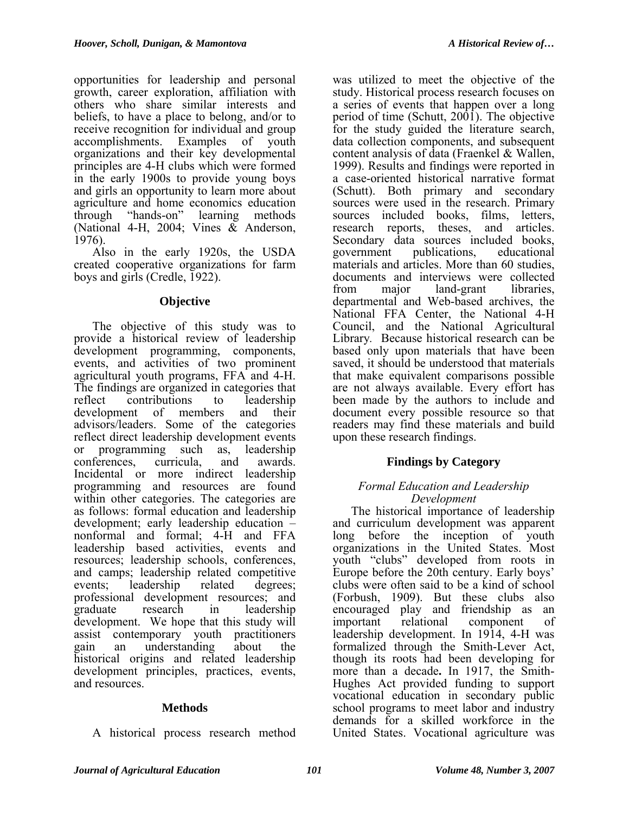opportunities for leadership and personal growth, career exploration, affiliation with others who share similar interests and beliefs, to have a place to belong, and/or to receive recognition for individual and group accomplishments. Examples of youth organizations and their key developmental principles are 4-H clubs which were formed in the early 1900s to provide young boys and girls an opportunity to learn more about agriculture and home economics education through "hands-on" learning methods (National 4-H, 2004; Vines  $\&$  Anderson, 1976).

Also in the early 1920s, the USDA created cooperative organizations for farm boys and girls (Credle, 1922).

# **Objective**

The objective of this study was to provide a historical review of leadership development programming, components, events, and activities of two prominent agricultural youth programs, FFA and 4-H. The findings are organized in categories that reflect contributions to leadership development of members and their advisors/leaders. Some of the categories reflect direct leadership development events or programming such as, leadership conferences, curricula, and awards. Incidental or more indirect leadership programming and resources are found within other categories. The categories are as follows: formal education and leadership development; early leadership education – nonformal and formal; 4-H and FFA leadership based activities, events and resources; leadership schools, conferences, and camps; leadership related competitive events; leadership related degrees; professional development resources; and graduate research in leadership development. We hope that this study will assist contemporary youth practitioners gain an understanding about the historical origins and related leadership development principles, practices, events, and resources.

# **Methods**

A historical process research method

was utilized to meet the objective of the study. Historical process research focuses on a series of events that happen over a long period of time (Schutt, 2001). The objective for the study guided the literature search, data collection components, and subsequent content analysis of data (Fraenkel & Wallen, 1999). Results and findings were reported in a case-oriented historical narrative format (Schutt). Both primary and secondary sources were used in the research. Primary sources included books, films, letters, research reports, theses, and articles. Secondary data sources included books, government publications, educational materials and articles. More than 60 studies, documents and interviews were collected from major land-grant libraries, departmental and Web-based archives, the National FFA Center, the National 4-H Council, and the National Agricultural Library*.* Because historical research can be based only upon materials that have been saved, it should be understood that materials that make equivalent comparisons possible are not always available. Every effort has been made by the authors to include and document every possible resource so that readers may find these materials and build upon these research findings.

# **Findings by Category**

#### *Formal Education and Leadership Development*

 leadership development. In 1914, 4-H was formalized through the Smith-Lever Act, though its roots had been developing for The historical importance of leadership and curriculum development was apparent long before the inception of youth organizations in the United States. Most youth "clubs" developed from roots in Europe before the 20th century. Early boys' clubs were often said to be a kind of school (Forbush, 1909). But these clubs also encouraged play and friendship as an important relational component of more than a decade**.** In 1917, the Smith-Hughes Act provided funding to support vocational education in secondary public school programs to meet labor and industry demands for a skilled workforce in the United States. Vocational agriculture was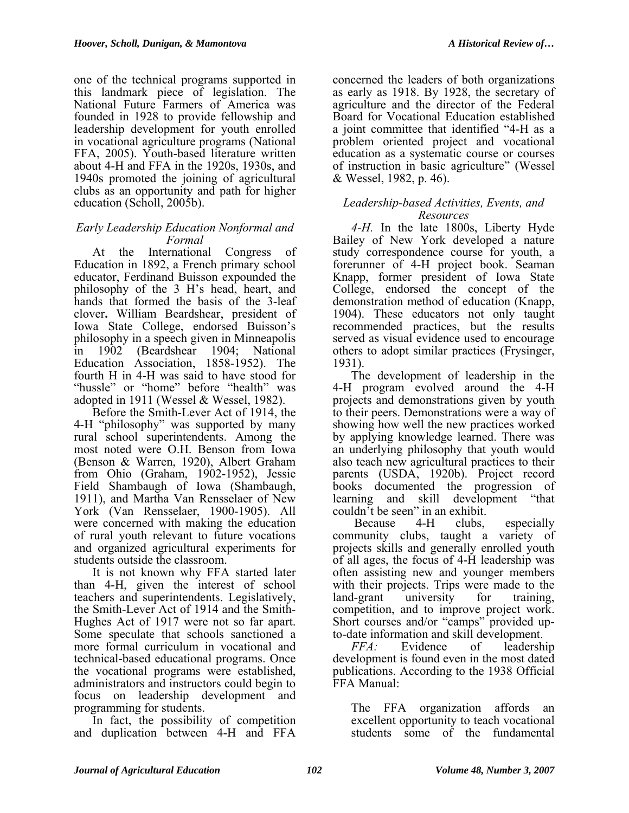one of the technical programs supported in this landmark piece of legislation. The National Future Farmers of America was founded in 1928 to provide fellowship and leadership development for youth enrolled in vocational agriculture programs (National FFA, 2005). Youth-based literature written about 4-H and FFA in the 1920s, 1930s, and 1940s promoted the joining of agricultural clubs as an opportunity and path for higher education (Scholl, 2005b).

#### *Early Leadership Education Nonformal and Formal*

At the International Congress of Education in 1892, a French primary school educator, Ferdinand Buisson expounded the philosophy of the 3 H's head, heart, and hands that formed the basis of the 3-leaf clover**.** William Beardshear, president of Iowa State College, endorsed Buisson's philosophy in a speech given in Minneapolis in 1902 (Beardshear 1904; National Education Association, 1858-1952). The fourth H in 4-H was said to have stood for "hussle" or "home" before "health" was adopted in 1911 (Wessel & Wessel, 1982).

Before the Smith-Lever Act of 1914, the 4-H "philosophy" was supported by many rural school superintendents. Among the most noted were O.H. Benson from Iowa (Benson & Warren, 1920), Albert Graham from Ohio (Graham, 1902-1952), Jessie Field Shambaugh of Iowa (Shambaugh, 1911), and Martha Van Rensselaer of New York (Van Rensselaer, 1900-1905). All were concerned with making the education of rural youth relevant to future vocations and organized agricultural experiments for students outside the classroom.

It is not known why FFA started later than 4-H, given the interest of school teachers and superintendents. Legislatively, the Smith-Lever Act of 1914 and the Smith-Hughes Act of 1917 were not so far apart. Some speculate that schools sanctioned a more formal curriculum in vocational and technical-based educational programs. Once the vocational programs were established, administrators and instructors could begin to focus on leadership development and programming for students.

In fact, the possibility of competition and duplication between 4-H and FFA

concerned the leaders of both organizations as early as 1918. By 1928, the secretary of agriculture and the director of the Federal Board for Vocational Education established a joint committee that identified "4-H as a problem oriented project and vocational education as a systematic course or courses of instruction in basic agriculture" (Wessel & Wessel, 1982, p. 46).

#### *Leadership-based Activities, Events, and Resources*

*4-H.* In the late 1800s, Liberty Hyde Bailey of New York developed a nature study correspondence course for youth, a forerunner of 4-H project book. Seaman Knapp, former president of Iowa State College, endorsed the concept of the demonstration method of education (Knapp, 1904). These educators not only taught recommended practices, but the results served as visual evidence used to encourage others to adopt similar practices (Frysinger, 1931).

The development of leadership in the 4-H program evolved around the 4-H projects and demonstrations given by youth to their peers. Demonstrations were a way of showing how well the new practices worked by applying knowledge learned. There was an underlying philosophy that youth would also teach new agricultural practices to their parents (USDA, 1920b). Project record books documented the progression of learning and skill development "that couldn't be seen" in an exhibit.

 Because 4-H clubs, especially community clubs, taught a variety of projects skills and generally enrolled youth of all ages, the focus of 4-H leadership was often assisting new and younger members with their projects. Trips were made to the land-grant university for training, competition, and to improve project work. Short courses and/or "camps" provided upto-date information and skill development.

*FFA:* Evidence of leadership development is found even in the most dated publications. According to the 1938 Official FFA Manual:

The FFA organization affords an excellent opportunity to teach vocational students some of the fundamental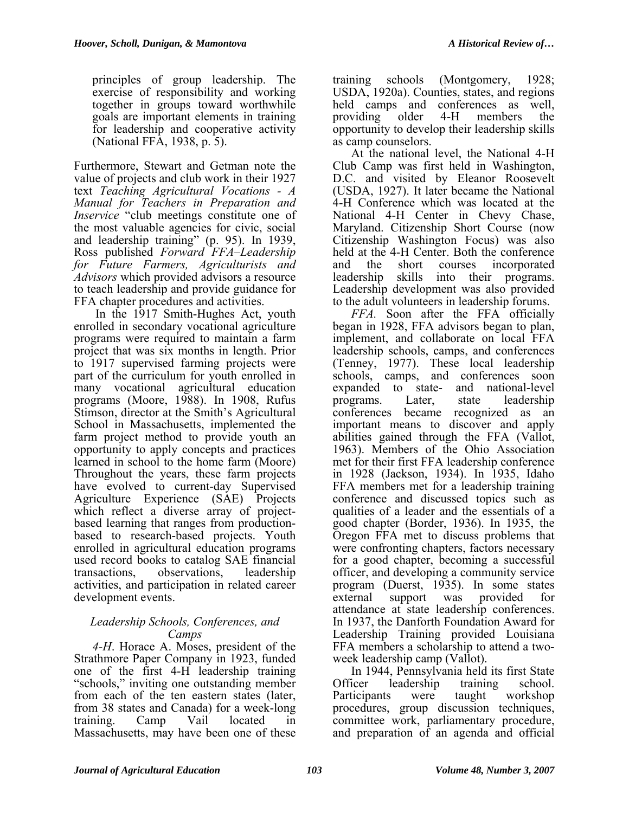principles of group leadership. The exercise of responsibility and working together in groups toward worthwhile goals are important elements in training for leadership and cooperative activity (National FFA, 1938, p. 5).

 Furthermore, Stewart and Getman note the value of projects and club work in their 1927 text *Teaching Agricultural Vocations - A Manual for Teachers in Preparation and Inservice* "club meetings constitute one of the most valuable agencies for civic, social and leadership training" (p. 95). In 1939, Ross published *Forward FFA–Leadership for Future Farmers, Agriculturists and Advisors* which provided advisors a resource to teach leadership and provide guidance for FFA chapter procedures and activities.

 In the 1917 Smith-Hughes Act, youth enrolled in secondary vocational agriculture programs were required to maintain a farm project that was six months in length. Prior to 1917 supervised farming projects were part of the curriculum for youth enrolled in many vocational agricultural education programs (Moore, 1988). In 1908, Rufus Stimson, director at the Smith's Agricultural School in Massachusetts, implemented the farm project method to provide youth an opportunity to apply concepts and practices learned in school to the home farm (Moore) Throughout the years, these farm projects have evolved to current-day Supervised Agriculture Experience (SAE) Projects which reflect a diverse array of projectbased learning that ranges from productionbased to research-based projects. Youth enrolled in agricultural education programs used record books to catalog SAE financial transactions, observations, leadership activities, and participation in related career development events.

# *Leadership Schools, Conferences, and Camps*

*4-H*. Horace A. Moses, president of the Strathmore Paper Company in 1923, funded one of the first 4-H leadership training "schools," inviting one outstanding member from each of the ten eastern states (later, from 38 states and Canada) for a week-long training. Camp Vail located in Massachusetts, may have been one of these

training schools (Montgomery, 1928; USDA, 1920a). Counties, states, and regions held camps and conferences as well, providing older 4-H members the opportunity to develop their leadership skills as camp counselors.

At the national level, the National 4-H Club Camp was first held in Washington, D.C. and visited by Eleanor Roosevelt (USDA, 1927). It later became the National 4-H Conference which was located at the National 4-H Center in Chevy Chase, Maryland. Citizenship Short Course (now Citizenship Washington Focus) was also held at the 4-H Center. Both the conference and the short courses incorporated leadership skills into their programs. Leadership development was also provided to the adult volunteers in leadership forums.

*FFA.* Soon after the FFA officially began in 1928, FFA advisors began to plan, implement, and collaborate on local FFA leadership schools, camps, and conferences (Tenney, 1977). These local leadership schools, camps, and conferences soon expanded to state- and national-level programs. Later, state leadership conferences became recognized as an important means to discover and apply abilities gained through the FFA (Vallot, 1963). Members of the Ohio Association met for their first FFA leadership conference in 1928 (Jackson, 1934). In 1935, Idaho FFA members met for a leadership training conference and discussed topics such as qualities of a leader and the essentials of a good chapter (Border, 1936). In 1935, the Oregon FFA met to discuss problems that were confronting chapters, factors necessary for a good chapter, becoming a successful officer, and developing a community service program (Duerst, 1935). In some states external support was provided for attendance at state leadership conferences. In 1937, the Danforth Foundation Award for Leadership Training provided Louisiana FFA members a scholarship to attend a twoweek leadership camp (Vallot).

In 1944, Pennsylvania held its first State Officer leadership training school. Participants were taught workshop procedures, group discussion techniques, committee work, parliamentary procedure, and preparation of an agenda and official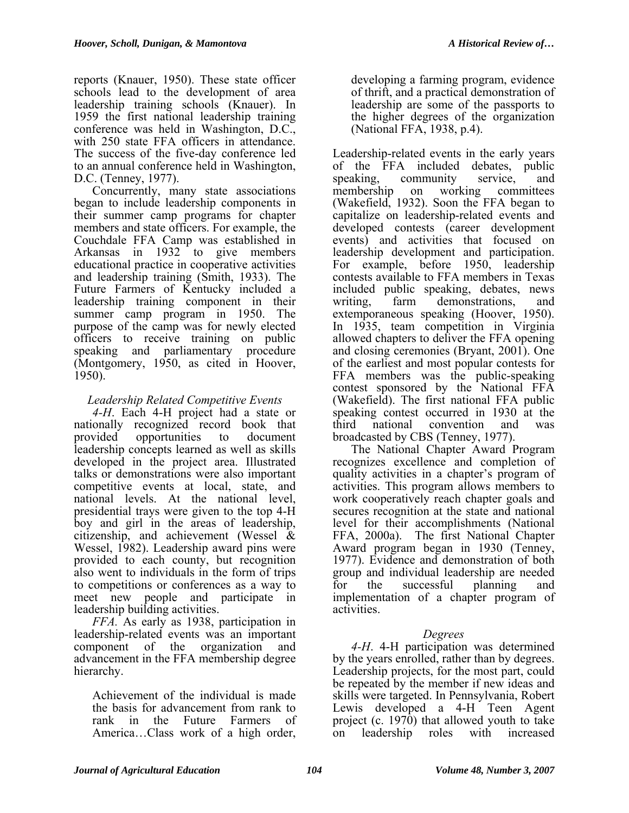reports (Knauer, 1950). These state officer schools lead to the development of area leadership training schools (Knauer). In 1959 the first national leadership training conference was held in Washington, D.C., with 250 state FFA officers in attendance. The success of the five-day conference led to an annual conference held in Washington, D.C. (Tenney, 1977).

Concurrently, many state associations began to include leadership components in their summer camp programs for chapter members and state officers. For example, the Couchdale FFA Camp was established in Arkansas in 1932 to give members educational practice in cooperative activities and leadership training (Smith, 1933). The Future Farmers of Kentucky included a leadership training component in their summer camp program in 1950. The purpose of the camp was for newly elected officers to receive training on public speaking and parliamentary procedure (Montgomery, 1950, as cited in Hoover, 1950).

*Leadership Related Competitive Events* 

*4-H*. Each 4-H project had a state or nationally recognized record book that provided opportunities to document leadership concepts learned as well as skills developed in the project area. Illustrated talks or demonstrations were also important competitive events at local, state, and national levels. At the national level, presidential trays were given to the top 4-H boy and girl in the areas of leadership, citizenship, and achievement (Wessel & Wessel, 1982). Leadership award pins were provided to each county, but recognition also went to individuals in the form of trips to competitions or conferences as a way to meet new people and participate in leadership building activities.

*FFA.* As early as 1938, participation in leadership-related events was an important component of the organization and advancement in the FFA membership degree hierarchy.

Achievement of the individual is made the basis for advancement from rank to rank in the Future Farmers of America…Class work of a high order,

developing a farming program, evidence of thrift, and a practical demonstration of leadership are some of the passports to the higher degrees of the organization (National FFA, 1938, p.4).

Leadership-related events in the early years of the FFA included debates, public speaking, community service, and membership on working committees (Wakefield, 1932). Soon the FFA began to capitalize on leadership-related events and developed contests (career development events) and activities that focused on leadership development and participation. For example, before 1950, leadership contests available to FFA members in Texas included public speaking, debates, news writing, farm demonstrations, and extemporaneous speaking (Hoover, 1950). In 1935, team competition in Virginia allowed chapters to deliver the FFA opening and closing ceremonies (Bryant, 2001). One of the earliest and most popular contests for FFA members was the public-speaking contest sponsored by the National FFA (Wakefield). The first national FFA public speaking contest occurred in 1930 at the third national convention and was broadcasted by CBS (Tenney, 1977).

The National Chapter Award Program recognizes excellence and completion of quality activities in a chapter's program of activities. This program allows members to work cooperatively reach chapter goals and secures recognition at the state and national level for their accomplishments (National FFA, 2000a). The first National Chapter Award program began in 1930 (Tenney, 1977). Evidence and demonstration of both group and individual leadership are needed for the successful planning and implementation of a chapter program of activities.

# *Degrees*

*4-H*. 4-H participation was determined by the years enrolled, rather than by degrees. Leadership projects, for the most part, could be repeated by the member if new ideas and skills were targeted. In Pennsylvania, Robert Lewis developed a 4-H Teen Agent project (c. 1970) that allowed youth to take on leadership roles with increased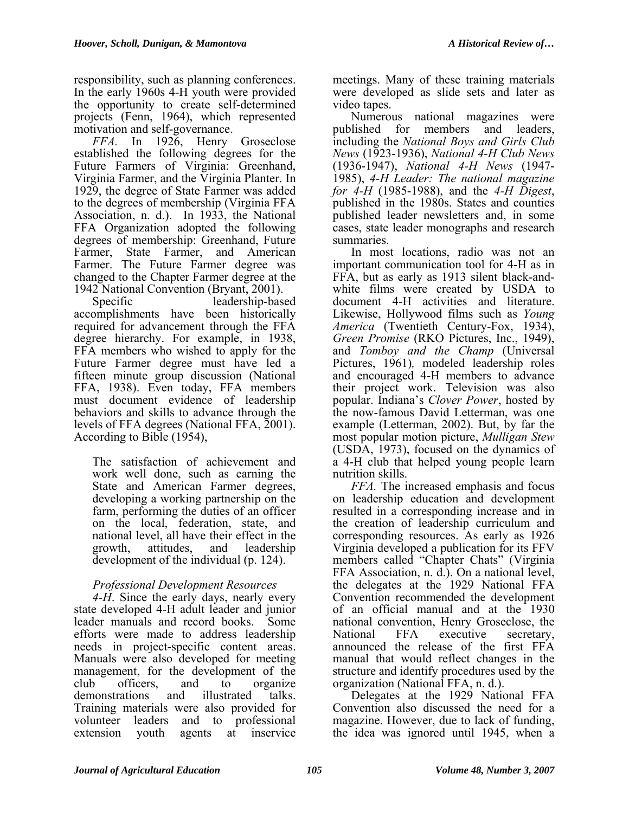responsibility, such as planning conferences. In the early 1960s 4-H youth were provided the opportunity to create self-determined projects (Fenn, 1964), which represented motivation and self-governance.

*FFA.* In 1926, Henry Groseclose established the following degrees for the Future Farmers of Virginia: Greenhand, Virginia Farmer, and the Virginia Planter. In 1929, the degree of State Farmer was added to the degrees of membership (Virginia FFA Association, n. d.). In 1933, the National FFA Organization adopted the following degrees of membership: Greenhand, Future Farmer, State Farmer, and American Farmer. The Future Farmer degree was changed to the Chapter Farmer degree at the 1942 National Convention (Bryant, 2001).

Specific leadership-based accomplishments have been historically required for advancement through the FFA degree hierarchy. For example, in 1938, FFA members who wished to apply for the Future Farmer degree must have led a fifteen minute group discussion (National FFA, 1938). Even today, FFA members must document evidence of leadership behaviors and skills to advance through the levels of FFA degrees (National FFA, 2001). According to Bible (1954),

The satisfaction of achievement and work well done, such as earning the State and American Farmer degrees, developing a working partnership on the farm, performing the duties of an officer on the local, federation, state, and national level, all have their effect in the growth, attitudes, and leadership development of the individual (p. 124).

# *Professional Development Resources*

*4-H*. Since the early days, nearly every state developed 4-H adult leader and junior leader manuals and record books. Some efforts were made to address leadership needs in project-specific content areas. Manuals were also developed for meeting management, for the development of the club officers, and to organize demonstrations and illustrated talks. Training materials were also provided for volunteer leaders and to professional extension youth agents at inservice

meetings. Many of these training materials were developed as slide sets and later as video tapes.

Numerous national magazines were published for members and leaders, including the *National Boys and Girls Club News* (1923-1936), *National 4-H Club News* (1936-1947), *National 4-H News* (1947- 1985), *4-H Leader: The national magazine for 4-H* (1985-1988), and the *4-H Digest*, published in the 1980s. States and counties published leader newsletters and, in some cases, state leader monographs and research summaries.

In most locations, radio was not an important communication tool for 4-H as in FFA, but as early as 1913 silent black-andwhite films were created by USDA to document 4-H activities and literature. Likewise, Hollywood films such as *Young America* (Twentieth Century-Fox, 1934), *Green Promise* (RKO Pictures, Inc., 1949), and *Tomboy and the Champ* (Universal Pictures, 1961)*,* modeled leadership roles and encouraged 4-H members to advance their project work. Television was also popular. Indiana's *Clover Power*, hosted by the now-famous David Letterman, was one example (Letterman, 2002). But, by far the most popular motion picture, *Mulligan Stew* (USDA, 1973), focused on the dynamics of a 4-H club that helped young people learn nutrition skills.

*FFA.* The increased emphasis and focus on leadership education and development resulted in a corresponding increase and in the creation of leadership curriculum and corresponding resources. As early as 1926 Virginia developed a publication for its FFV members called "Chapter Chats" (Virginia FFA Association, n. d.). On a national level, the delegates at the 1929 National FFA Convention recommended the development of an official manual and at the 1930 national convention, Henry Groseclose, the National FFA executive secretary, announced the release of the first FFA manual that would reflect changes in the structure and identify procedures used by the organization (National FFA, n. d.).

Delegates at the 1929 National FFA Convention also discussed the need for a magazine. However, due to lack of funding, the idea was ignored until 1945, when a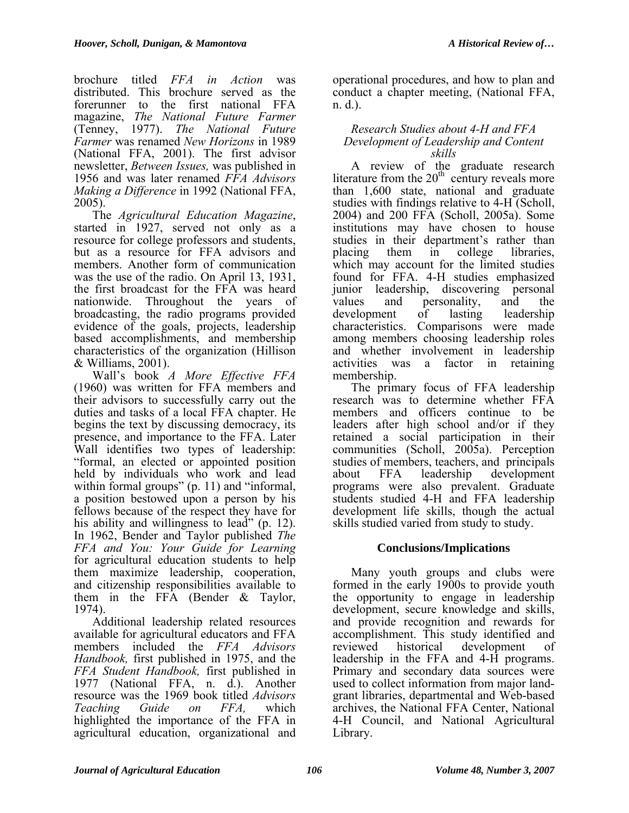brochure titled *FFA in Action* was distributed. This brochure served as the forerunner to the first national FFA magazine, *The National Future Farmer* (Tenney, 1977). *The National Future Farmer* was renamed *New Horizons* in 1989 (National FFA, 2001). The first advisor newsletter, *Between Issues,* was published in 1956 and was later renamed *FFA Advisors Making a Difference* in 1992 (National FFA, 2005).

The *Agricultural Education Magazine*, started in 1927, served not only as a resource for college professors and students, but as a resource for FFA advisors and members. Another form of communication was the use of the radio. On April 13, 1931, the first broadcast for the FFA was heard nationwide. Throughout the years of broadcasting, the radio programs provided evidence of the goals, projects, leadership based accomplishments, and membership characteristics of the organization (Hillison & Williams, 2001).

Wall's book *A More Effective FFA* (1960) was written for FFA members and their advisors to successfully carry out the duties and tasks of a local FFA chapter. He begins the text by discussing democracy, its presence, and importance to the FFA. Later Wall identifies two types of leadership: "formal, an elected or appointed position held by individuals who work and lead within formal groups" (p. 11) and "informal, a position bestowed upon a person by his fellows because of the respect they have for his ability and willingness to lead" (p. 12). In 1962, Bender and Taylor published *The FFA and You: Your Guide for Learning* for agricultural education students to help them maximize leadership, cooperation, and citizenship responsibilities available to them in the FFA (Bender & Taylor, 1974).

Additional leadership related resources available for agricultural educators and FFA members included the *FFA Advisors Handbook,* first published in 1975, and the *FFA Student Handbook,* first published in 1977 (National FFA, n. d.). Another resource was the 1969 book titled *Advisors Teaching Guide on FFA,* which highlighted the importance of the FFA in agricultural education, organizational and

operational procedures, and how to plan and conduct a chapter meeting, (National FFA, n. d.).

## *Research Studies about 4-H and FFA Development of Leadership and Content skills*

A review of the graduate research literature from the  $20<sup>th</sup>$  century reveals more than 1,600 state, national and graduate studies with findings relative to 4-H (Scholl, 2004) and 200 FFA (Scholl, 2005a). Some institutions may have chosen to house studies in their department's rather than placing them in college libraries, which may account for the limited studies found for FFA. 4-H studies emphasized junior leadership, discovering personal values and personality, and the development of lasting leadership characteristics. Comparisons were made among members choosing leadership roles and whether involvement in leadership activities was a factor in retaining membership.

The primary focus of FFA leadership research was to determine whether FFA members and officers continue to be leaders after high school and/or if they retained a social participation in their communities (Scholl, 2005a). Perception studies of members, teachers, and principals about FFA leadership development programs were also prevalent. Graduate students studied 4-H and FFA leadership development life skills, though the actual skills studied varied from study to study.

# **Conclusions/Implications**

 the opportunity to engage in leadership archives, the National FFA Center, National Many youth groups and clubs were formed in the early 1900s to provide youth development, secure knowledge and skills, and provide recognition and rewards for accomplishment. This study identified and reviewed historical development of leadership in the FFA and 4-H programs. Primary and secondary data sources were used to collect information from major landgrant libraries, departmental and Web-based 4-H Council, and National Agricultural Library.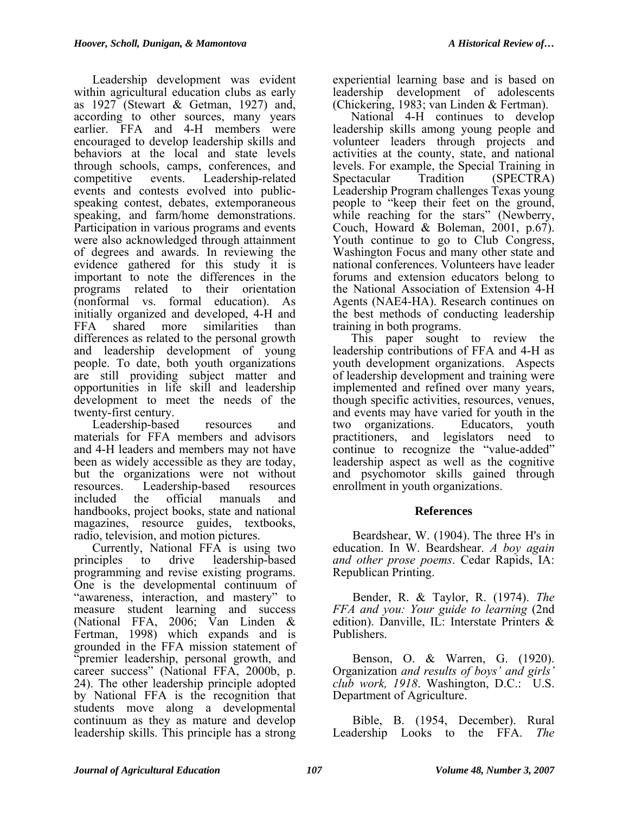Leadership development was evident within agricultural education clubs as early as 1927 (Stewart & Getman, 1927) and, according to other sources, many years earlier. FFA and 4-H members were encouraged to develop leadership skills and behaviors at the local and state levels through schools, camps, conferences, and competitive events. Leadership-related events and contests evolved into publicspeaking contest, debates, extemporaneous speaking, and farm/home demonstrations. Participation in various programs and events were also acknowledged through attainment of degrees and awards. In reviewing the evidence gathered for this study it is important to note the differences in the programs related to their orientation (nonformal vs. formal education). As initially organized and developed, 4-H and FFA shared more similarities than differences as related to the personal growth and leadership development of young people. To date, both youth organizations are still providing subject matter and opportunities in life skill and leadership development to meet the needs of the twenty-first century.

Leadership-based resources and materials for FFA members and advisors and 4-H leaders and members may not have been as widely accessible as they are today, but the organizations were not without resources. Leadership-based resources included the official manuals and handbooks, project books, state and national magazines, resource guides, textbooks, radio, television, and motion pictures.

Currently, National FFA is using two principles to drive leadership-based programming and revise existing programs. One is the developmental continuum of "awareness, interaction, and mastery" to measure student learning and success (National FFA, 2006; Van Linden & Fertman, 1998) which expands and is grounded in the FFA mission statement of "premier leadership, personal growth, and career success" (National FFA, 2000b, p. 24). The other leadership principle adopted by National FFA is the recognition that students move along a developmental continuum as they as mature and develop leadership skills. This principle has a strong experiential learning base and is based on leadership development of adolescents (Chickering, 1983; van Linden & Fertman).

National 4-H continues to develop leadership skills among young people and volunteer leaders through projects and activities at the county, state, and national levels. For example, the Special Training in Spectacular Tradition (SPECTRA) Leadership Program challenges Texas young people to "keep their feet on the ground, while reaching for the stars" (Newberry, Couch, Howard & Boleman, 2001, p.67). Youth continue to go to Club Congress, Washington Focus and many other state and national conferences. Volunteers have leader forums and extension educators belong to the National Association of Extension 4-H Agents (NAE4-HA). Research continues on the best methods of conducting leadership training in both programs.

This paper sought to review the leadership contributions of FFA and 4-H as youth development organizations. Aspects of leadership development and training were implemented and refined over many years, though specific activities, resources, venues, and events may have varied for youth in the two organizations. Educators, youth practitioners, and legislators need to continue to recognize the "value-added" leadership aspect as well as the cognitive and psychomotor skills gained through enrollment in youth organizations.

# **References**

Beardshear, W. (1904). The three H's in education. In W. Beardshear. *A boy again and other prose poems*. Cedar Rapids, IA: Republican Printing.

Bender, R. & Taylor, R. (1974). *The FFA and you: Your guide to learning* (2nd edition). Danville, IL: Interstate Printers & Publishers.

Benson, O. & Warren, G. (1920). Organization *and results of boys' and girls' club work, 1918*. Washington, D.C.: U.S. Department of Agriculture.

Bible, B. (1954, December). Rural Leadership Looks to the FFA. *The*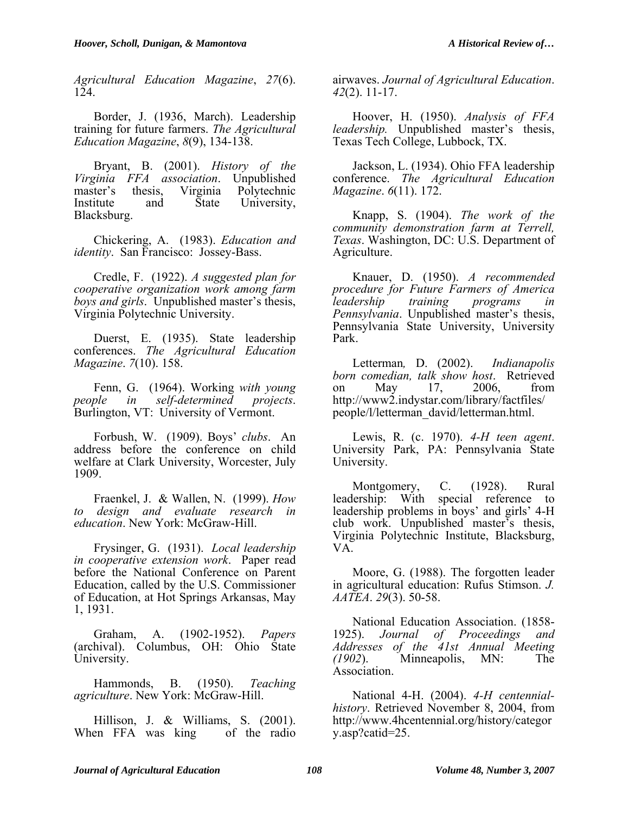*Agricultural Education Magazine*, *27*(6). 124.

Border, J. (1936, March). Leadership training for future farmers. *The Agricultural Education Magazine*, *8*(9), 134-138.

Bryant, B. (2001). *History of the Virginia FFA association*. Unpublished master's thesis, Virginia Polytechnic Institute and State University, Blacksburg.

Chickering, A. (1983). *Education and identity*. San Francisco: Jossey-Bass.

Credle, F. (1922). *A suggested plan for cooperative organization work among farm boys and girls*. Unpublished master's thesis, Virginia Polytechnic University.

Duerst, E. (1935). State leadership conferences. *The Agricultural Education Magazine*. *7*(10). 158.

Fenn, G. (1964). Working *with young people in self-determined projects*. Burlington, VT: University of Vermont.

Forbush, W. (1909). Boys' *clubs*. An address before the conference on child welfare at Clark University, Worcester, July 1909.

Fraenkel, J. & Wallen, N. (1999). *How to design and evaluate research in education*. New York: McGraw-Hill.

Frysinger, G. (1931). *Local leadership in cooperative extension work*. Paper read before the National Conference on Parent Education, called by the U.S. Commissioner of Education, at Hot Springs Arkansas, May 1, 1931.

Graham, A. (1902-1952). *Papers*  (archival). Columbus, OH: Ohio State University.

Hammonds, B. (1950). *Teaching agriculture*. New York: McGraw-Hill.

Hillison, J. & Williams, S. (2001). When FFA was king of the radio airwaves. *Journal of Agricultural Education*. *42*(2). 11-17.

Hoover, H. (1950). *Analysis of FFA leadership.* Unpublished master's thesis, Texas Tech College, Lubbock, TX.

Jackson, L. (1934). Ohio FFA leadership conference. *The Agricultural Education Magazine*. *6*(11). 172.

Knapp, S. (1904). *The work of the community demonstration farm at Terrell, Texas*. Washington, DC: U.S. Department of Agriculture.

Knauer, D. (1950). *A recommended procedure for Future Farmers of America leadership training programs in Pennsylvania*. Unpublished master's thesis, Pennsylvania State University, University Park.

Letterman*,* D. (2002). *Indianapolis born comedian, talk show host*. Retrieved on May 17, 2006, from http://www2.indystar.com/library/factfiles/ people/l/letterman\_david/letterman.html.

Lewis, R. (c. 1970). *4-H teen agent*. University Park, PA: Pennsylvania State University.

Montgomery, C. (1928). Rural leadership: With special reference to leadership problems in boys' and girls' 4-H club work. Unpublished master's thesis, Virginia Polytechnic Institute, Blacksburg, VA.

Moore, G. (1988). The forgotten leader in agricultural education: Rufus Stimson. *J. AATEA*. *29*(3). 50-58.

National Education Association. (1858- 1925). *Journal of Proceedings and Addresses of the 41st Annual Meeting (1902*). Minneapolis, MN: The Association.

National 4-H. (2004). *4-H centennialhistory*. Retrieved November 8, 2004, from http://www.4hcentennial.org/history/categor y.asp?catid=25.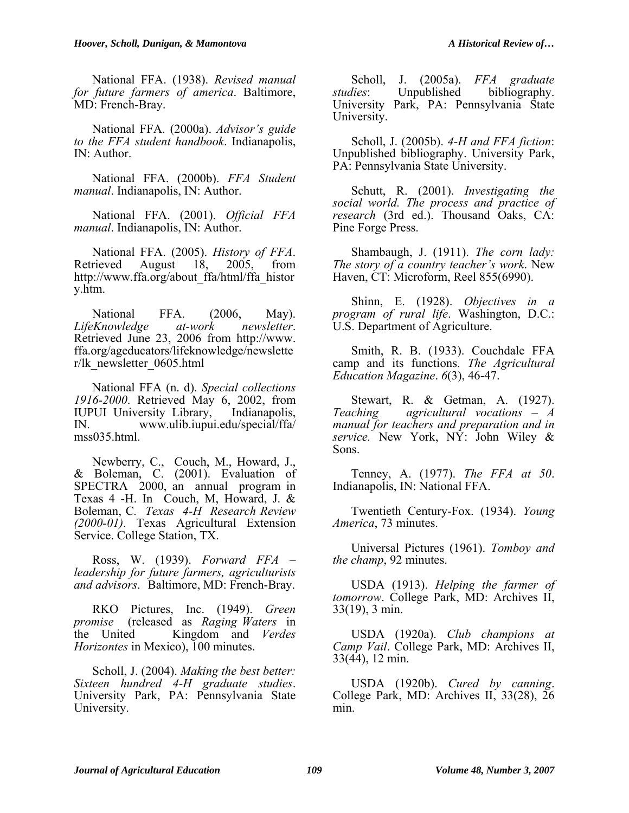National FFA. (1938). *Revised manual for future farmers of america*. Baltimore, MD: French-Bray.

National FFA. (2000a). *Advisor's guide to the FFA student handbook*. Indianapolis, IN: Author.

National FFA. (2000b). *FFA Student manual*. Indianapolis, IN: Author.

National FFA. (2001). *Official FFA manual*. Indianapolis, IN: Author.

National FFA. (2005). *History of FFA*. Retrieved August 18, 2005, from http://www.ffa.org/about\_ffa/html/ffa\_histor y.htm.

National FFA. (2006, May). *LifeKnowledge at-work newsletter*. Retrieved June 23, 2006 from http://www. ffa.org/ageducators/lifeknowledge/newslette r/lk\_newsletter\_0605.html

National FFA (n. d). *Special collections 1916-2000*. Retrieved May 6, 2002, from IUPUI University Library, Indianapolis, IN. www.ulib.iupui.edu/special/ffa/ mss035.html.

Newberry, C., Couch, M., Howard, J., & Boleman, C. (2001). Evaluation of SPECTRA 2000, an annual program in Texas 4 -H. In Couch, M, Howard, J. & Boleman, C*. Texas 4-H Research Review (2000-01)*. Texas Agricultural Extension Service. College Station, TX.

Ross, W. (1939). *Forward FFA – leadership for future farmers, agriculturists and advisors*. Baltimore, MD: French-Bray.

RKO Pictures, Inc. (1949). *Green promise* (released as *Raging Waters* in the United Kingdom and *Verdes Horizontes* in Mexico), 100 minutes.

Scholl, J. (2004). *Making the best better: Sixteen hundred 4-H graduate studies*. University Park, PA: Pennsylvania State University.

Scholl, J. (2005a). *FFA graduate studies*: Unpublished bibliography. University Park, PA: Pennsylvania State University.

Scholl, J. (2005b). *4-H and FFA fiction*: Unpublished bibliography. University Park, PA: Pennsylvania State University.

Schutt, R. (2001). *Investigating the social world. The process and practice of research* (3rd ed.). Thousand Oaks, CA: Pine Forge Press.

Shambaugh, J. (1911). *The corn lady: The story of a country teacher's work*. New Haven, CT: Microform, Reel 855(6990).

Shinn, E. (1928). *Objectives in a program of rural life*. Washington, D.C.: U.S. Department of Agriculture.

Smith, R. B. (1933). Couchdale FFA camp and its functions. *The Agricultural Education Magazine*. *6*(3), 46-47.

Stewart, R. & Getman, A. (1927). *Teaching agricultural vocations – A manual for teachers and preparation and in service.* New York, NY: John Wiley & Sons.

Tenney, A. (1977). *The FFA at 50*. Indianapolis, IN: National FFA.

Twentieth Century-Fox. (1934). *Young America*, 73 minutes.

Universal Pictures (1961). *Tomboy and the champ*, 92 minutes.

USDA (1913). *Helping the farmer of tomorrow*. College Park, MD: Archives II, 33(19), 3 min.

USDA (1920a). *Club champions at Camp Vail*. College Park, MD: Archives II, 33(44), 12 min.

USDA (1920b). *Cured by canning*. College Park, MD: Archives II, 33(28), 26 min.